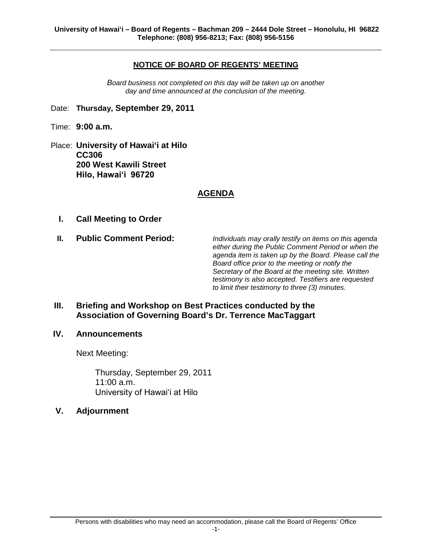## **NOTICE OF BOARD OF REGENTS' MEETING**

*Board business not completed on this day will be taken up on another day and time announced at the conclusion of the meeting.*

- Date: **Thursday, September 29, 2011**
- Time: **9:00 a.m.**
- Place: **University of Hawai'i at Hilo CC306 200 West Kawili Street Hilo, Hawaiʻi 96720**

## **AGENDA**

- **I. Call Meeting to Order**
- 

**II. Public Comment Period:** *Individuals may orally testify on items on this agenda either during the Public Comment Period or when the agenda item is taken up by the Board. Please call the Board office prior to the meeting or notify the Secretary of the Board at the meeting site. Written testimony is also accepted. Testifiers are requested to limit their testimony to three (3) minutes.*

**III. Briefing and Workshop on Best Practices conducted by the Association of Governing Board's Dr. Terrence MacTaggart**

#### **IV. Announcements**

Next Meeting:

Thursday, September 29, 2011 11:00 a.m. University of Hawaiʻi at Hilo

**V. Adjournment**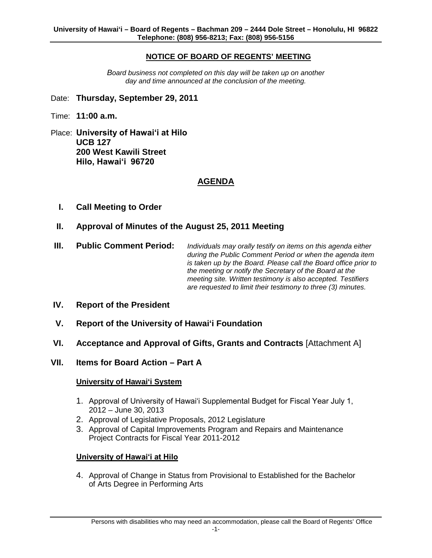## **NOTICE OF BOARD OF REGENTS' MEETING**

*Board business not completed on this day will be taken up on another day and time announced at the conclusion of the meeting.*

- Date: **Thursday, September 29, 2011**
- Time: **11:00 a.m.**
- Place: **University of Hawaiʻi at Hilo UCB 127 200 West Kawili Street Hilo, Hawaiʻi 96720**

## **AGENDA**

- **I. Call Meeting to Order**
- **II. Approval of Minutes of the August 25, 2011 Meeting**
- **III. Public Comment Period:** *Individuals may orally testify on items on this agenda either during the Public Comment Period or when the agenda item is taken up by the Board. Please call the Board office prior to the meeting or notify the Secretary of the Board at the meeting site. Written testimony is also accepted. Testifiers are requested to limit their testimony to three (3) minutes.*
- **IV. Report of the President**
- **V. Report of the University of Hawai'i Foundation**
- **VI. Acceptance and Approval of Gifts, Grants and Contracts** [Attachment A]
- **VII. Items for Board Action – Part A**

#### **University of Hawai'i System**

- 1. Approval of University of Hawaiʻi Supplemental Budget for Fiscal Year July 1, 2012 – June 30, 2013
- 2. Approval of Legislative Proposals, 2012 Legislature
- 3. Approval of Capital Improvements Program and Repairs and Maintenance Project Contracts for Fiscal Year 2011-2012

#### **University of Hawaiʻi at Hilo**

4. Approval of Change in Status from Provisional to Established for the Bachelor of Arts Degree in Performing Arts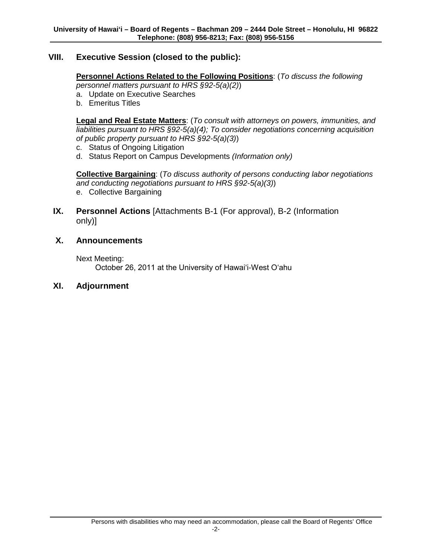## **VIII. Executive Session (closed to the public):**

## **Personnel Actions Related to the Following Positions**: (*To discuss the following*

*personnel matters pursuant to HRS §92-5(a)(2)*)

- a. Update on Executive Searches
- b. Emeritus Titles

**Legal and Real Estate Matters**: (*To consult with attorneys on powers, immunities, and liabilities pursuant to HRS §92-5(a)(4); To consider negotiations concerning acquisition of public property pursuant to HRS §92-5(a)(3)*)

- c. Status of Ongoing Litigation
- d. Status Report on Campus Developments *(Information only)*

**Collective Bargaining**: (*To discuss authority of persons conducting labor negotiations and conducting negotiations pursuant to HRS §92-5(a)(3)*)

- e. Collective Bargaining
- **IX. Personnel Actions** [Attachments B-1 (For approval), B-2 (Information only)]

## **X. Announcements**

Next Meeting:

October 26, 2011 at the University of Hawaiʻi-West Oʻahu

#### **XI. Adjournment**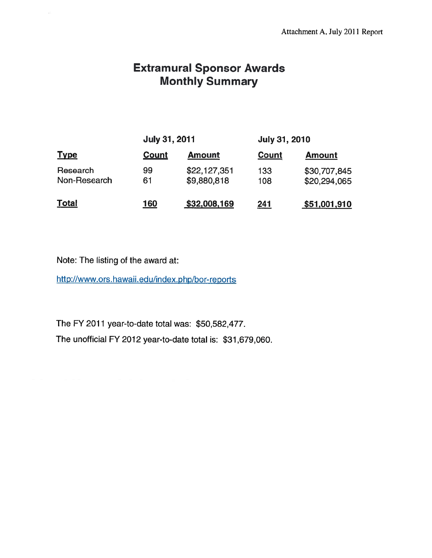# **Extramural Sponsor Awards Monthly Summary**

| <b>Type</b>              | <b>July 31, 2011</b> |                             | <b>July 31, 2010</b> |                              |
|--------------------------|----------------------|-----------------------------|----------------------|------------------------------|
|                          | Count                | <b>Amount</b>               | Count                | <b>Amount</b>                |
| Research<br>Non-Research | 99<br>61             | \$22,127,351<br>\$9,880,818 | 133<br>108           | \$30,707,845<br>\$20,294,065 |
| <u>Total</u>             | 160                  | \$32,008,169                | <u> 241</u>          | \$51,001,910                 |

Note: The listing of the award at:

 $\lesssim$ 

http://www.ors.hawaii.edu/index.php/bor-reports

The FY 2011 year-to-date total was: \$50,582,477.

The unofficial FY 2012 year-to-date total is: \$31,679,060.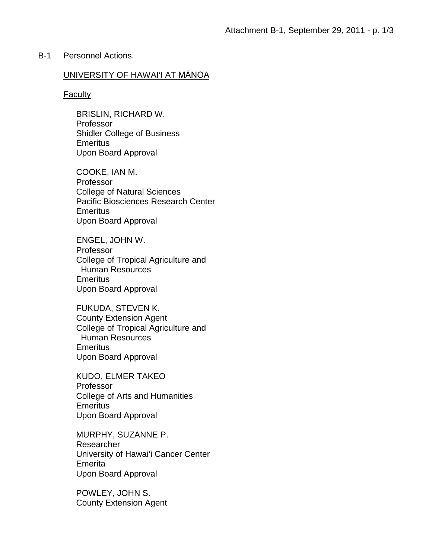## B-1 Personnel Actions.

## UNIVERSITY OF HAWAI'I AT MĀNOA

#### **Faculty**

BRISLIN, RICHARD W. Professor Shidler College of Business **Emeritus** Upon Board Approval

COOKE, IAN M. Professor College of Natural Sciences Pacific Biosciences Research Center **Emeritus** Upon Board Approval

ENGEL, JOHN W. Professor College of Tropical Agriculture and Human Resources **Emeritus** Upon Board Approval

FUKUDA, STEVEN K. County Extension Agent College of Tropical Agriculture and Human Resources **Emeritus** Upon Board Approval

KUDO, ELMER TAKEO Professor College of Arts and Humanities **Emeritus** Upon Board Approval

MURPHY, SUZANNE P. Researcher University of Hawai'i Cancer Center Emerita Upon Board Approval

POWLEY, JOHN S. County Extension Agent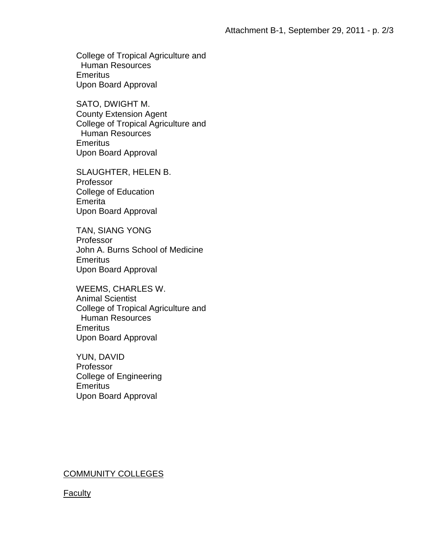College of Tropical Agriculture and Human Resources **Emeritus** Upon Board Approval

SATO, DWIGHT M. County Extension Agent College of Tropical Agriculture and Human Resources **Emeritus** Upon Board Approval

SLAUGHTER, HELEN B. Professor College of Education Emerita Upon Board Approval

TAN, SIANG YONG Professor John A. Burns School of Medicine **Emeritus** Upon Board Approval

WEEMS, CHARLES W. Animal Scientist College of Tropical Agriculture and Human Resources **Emeritus** Upon Board Approval

YUN, DAVID Professor College of Engineering **Emeritus** Upon Board Approval

# COMMUNITY COLLEGES

# **Faculty**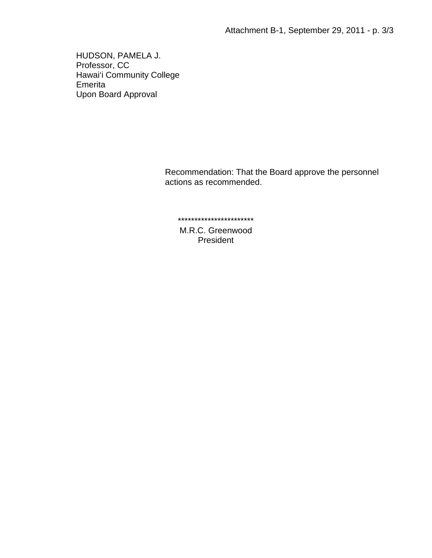HUDSON, PAMELA J. Professor, CC Hawai'i Community College Emerita Upon Board Approval

> Recommendation: That the Board approve the personnel actions as recommended.

\*\*\*\*\*\*\*\*\*\*\*\*\*\*\*\*\*\*\*\*\*\*\*

M.R.C. Greenwood President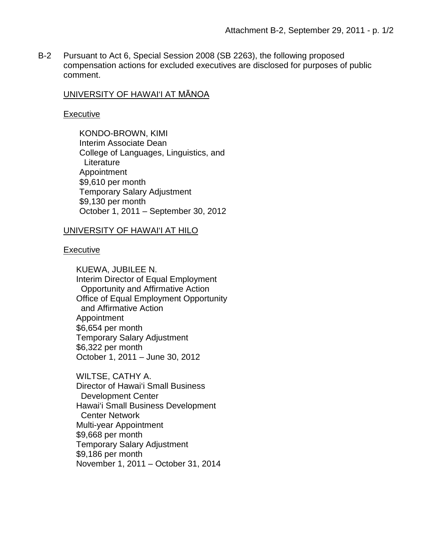B-2 Pursuant to Act 6, Special Session 2008 (SB 2263), the following proposed compensation actions for excluded executives are disclosed for purposes of public comment.

## UNIVERSITY OF HAWAI'I AT MĀNOA

### **Executive**

KONDO-BROWN, KIMI Interim Associate Dean College of Languages, Linguistics, and Literature Appointment \$9,610 per month Temporary Salary Adjustment \$9,130 per month October 1, 2011 – September 30, 2012

## UNIVERSITY OF HAWAI'I AT HILO

## Executive

KUEWA, JUBILEE N. Interim Director of Equal Employment Opportunity and Affirmative Action Office of Equal Employment Opportunity and Affirmative Action Appointment \$6,654 per month Temporary Salary Adjustment \$6,322 per month October 1, 2011 – June 30, 2012

WILTSE, CATHY A. Director of Hawai'i Small Business Development Center Hawai'i Small Business Development Center Network Multi-year Appointment \$9,668 per month Temporary Salary Adjustment \$9,186 per month November 1, 2011 – October 31, 2014